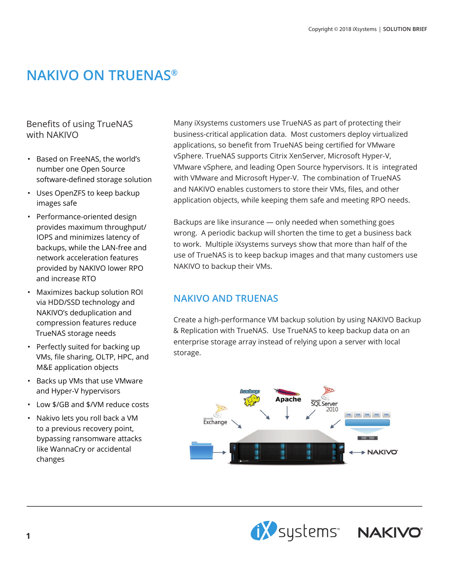## **NAKIVO ON TRUENAS®**

## Benefits of using TrueNAS with NAKIVO

- Based on FreeNAS, the world's number one Open Source software-defined storage solution
- Uses OpenZFS to keep backup images safe
- Performance-oriented design provides maximum throughput/ IOPS and minimizes latency of backups, while the LAN-free and network acceleration features provided by NAKIVO lower RPO and increase RTO
- Maximizes backup solution ROI via HDD/SSD technology and NAKIVO's deduplication and compression features reduce TrueNAS storage needs
- Perfectly suited for backing up VMs, file sharing, OLTP, HPC, and M&E application objects
- Backs up VMs that use VMware and Hyper-V hypervisors
- Low \$/GB and \$/VM reduce costs
- Nakivo lets you roll back a VM to a previous recovery point, bypassing ransomware attacks like WannaCry or accidental changes

Many iXsystems customers use TrueNAS as part of protecting their business-critical application data. Most customers deploy virtualized applications, so benefit from TrueNAS being certified for VMware vSphere. TrueNAS supports Citrix XenServer, Microsoft Hyper-V, VMware vSphere, and leading Open Source hypervisors. It is integrated with VMware and Microsoft Hyper-V. The combination of TrueNAS and NAKIVO enables customers to store their VMs, files, and other application objects, while keeping them safe and meeting RPO needs.

Backups are like insurance — only needed when something goes wrong. A periodic backup will shorten the time to get a business back to work. Multiple iXsystems surveys show that more than half of the use of TrueNAS is to keep backup images and that many customers use NAKIVO to backup their VMs.

## **NAKIVO AND TRUENAS**

Create a high-performance VM backup solution by using NAKIVO Backup & Replication with TrueNAS. Use TrueNAS to keep backup data on an enterprise storage array instead of relying upon a server with local storage.



**EXP** systems" NAKIVO